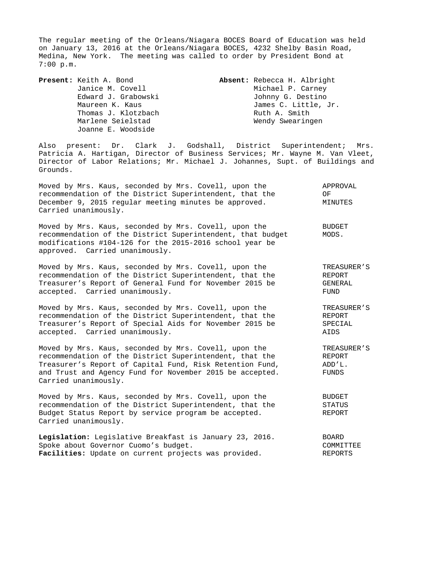The regular meeting of the Orleans/Niagara BOCES Board of Education was held on January 13, 2016 at the Orleans/Niagara BOCES, 4232 Shelby Basin Road, Medina, New York. The meeting was called to order by President Bond at 7:00 p.m.

Joanne E. Woodside

**Present:** Keith A. Bond **Absent:** Rebecca H. Albright Janice M. Covell **Michael P. Carney**  Edward J. Grabowski Johnny G. Destino Maureen K. Kaus **James C. Little, Jr.** Thomas J. Klotzbach **Ruth A. Smith** Marlene Seielstad Wendy Swearingen

Also present: Dr. Clark J. Godshall, District Superintendent; Mrs. Patricia A. Hartigan, Director of Business Services; Mr. Wayne M. Van Vleet, Director of Labor Relations; Mr. Michael J. Johannes, Supt. of Buildings and Grounds.

| Moved by Mrs. Kaus, seconded by Mrs. Covell, upon the   | APPROVAL |  |
|---------------------------------------------------------|----------|--|
| recommendation of the District Superintendent, that the | OF.      |  |
| December 9, 2015 regular meeting minutes be approved.   | MINUTES  |  |
| Carried unanimously.                                    |          |  |

Moved by Mrs. Kaus, seconded by Mrs. Covell, upon the THO BUDGET recommendation of the District Superintendent, that budget MODS. modifications #104-126 for the 2015-2016 school year be approved. Carried unanimously.

Moved by Mrs. Kaus, seconded by Mrs. Covell, upon the TREASURER'S<br>recommendation of the District Superintendent, that the TREPORT recommendation of the District Superintendent, that the Treasurer's Report of General Fund for November 2015 be GENERAL accepted. Carried unanimously. The contract of the set of the set of the set of the set of the set of the set of the set of the set of the set of the set of the set of the set of the set of the set of the set of the set of

Moved by Mrs. Kaus, seconded by Mrs. Covell, upon the TREASURER'S recommendation of the District Superintendent, that the REPORT Treasurer's Report of Special Aids for November 2015 be SPECIAL accepted. Carried unanimously. AIDS

Moved by Mrs. Kaus, seconded by Mrs. Covell, upon the TREASURER'S recommendation of the District Superintendent, that the REPORT Treasurer's Report of Capital Fund, Risk Retention Fund, ADD'L. and Trust and Agency Fund for November 2015 be accepted. FUNDS Carried unanimously.

Moved by Mrs. Kaus, seconded by Mrs. Covell, upon the BUDGET recommendation of the District Superintendent, that the STATUS Budget Status Report by service program be accepted. REPORT Carried unanimously.

| Legislation: Legislative Breakfast is January 23, 2016.     | <b>BOARD</b> |
|-------------------------------------------------------------|--------------|
| Spoke about Governor Cuomo's budget.                        | COMMITTEE    |
| <b>Facilities:</b> Update on current projects was provided. | REPORTS      |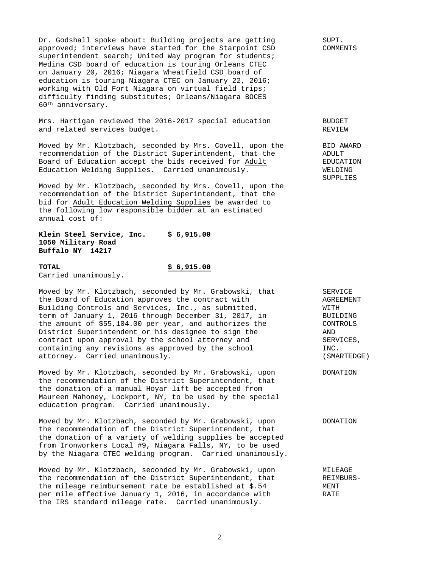Dr. Godshall spoke about: Building projects are getting SUPT. approved; interviews have started for the Starpoint CSD COMMENTS superintendent search; United Way program for students; Medina CSD board of education is touring Orleans CTEC on January 20, 2016; Niagara Wheatfield CSD board of education is touring Niagara CTEC on January 22, 2016; working with Old Fort Niagara on virtual field trips; difficulty finding substitutes; Orleans/Niagara BOCES 60th anniversary.

Mrs. Hartigan reviewed the 2016-2017 special education BUDGET and related services budget. The service of the services of the services of the services of the services of the services of the services of the services of the services of the services of the services of the services of th

Moved by Mr. Klotzbach, seconded by Mrs. Covell, upon the BID AWARD recommendation of the District Superintendent, that the ADULT Board of Education accept the bids received for Adult EDUCATION Education Welding Supplies. Carried unanimously. WELDING

Moved by Mr. Klotzbach, seconded by Mrs. Covell, upon the recommendation of the District Superintendent, that the bid for Adult Education Welding Supplies be awarded to the following low responsible bidder at an estimated annual cost of:

**Klein Steel Service, Inc. \$ 6,915.00 1050 Military Road Buffalo NY 14217** 

### **TOTAL \$ 6,915.00**

Carried unanimously.

Moved by Mr. Klotzbach, seconded by Mr. Grabowski, that SERVICE<br>the Board of Education approves the contract with SAGREEMENT the Board of Education approves the contract with Building Controls and Services, Inc., as submitted, WITH term of January 1, 2016 through December 31, 2017, in BUILDING the amount of \$55,104.00 per year, and authorizes the CONTROLS District Superintendent or his designee to sign the AND contract upon approval by the school attorney and SERVICES,<br>containing any revisions as approved by the school SERVICES, containing any revisions as approved by the school attorney. Carried unanimously. (SMARTEDGE)

Moved by Mr. Klotzbach, seconded by Mr. Grabowski, upon DONATION the recommendation of the District Superintendent, that the donation of a manual Hoyar lift be accepted from Maureen Mahoney, Lockport, NY, to be used by the special education program. Carried unanimously.

Moved by Mr. Klotzbach, seconded by Mr. Grabowski, upon DONATION the recommendation of the District Superintendent, that the donation of a variety of welding supplies be accepted from Ironworkers Local #9, Niagara Falls, NY, to be used by the Niagara CTEC welding program. Carried unanimously.

Moved by Mr. Klotzbach, seconded by Mr. Grabowski, upon MILEAGE the recommendation of the District Superintendent, that REIMBURSthe mileage reimbursement rate be established at \$.54 MENT per mile effective January 1, 2016, in accordance with RATE the IRS standard mileage rate. Carried unanimously.

**SUPPLIES**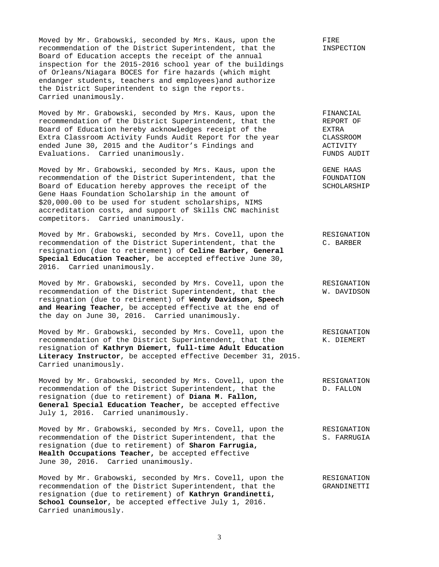Moved by Mr. Grabowski, seconded by Mrs. Kaus, upon the FIRE FIRE<br>recommendation of the District Superintendent, that the FINSPECTION recommendation of the District Superintendent, that the Board of Education accepts the receipt of the annual inspection for the 2015-2016 school year of the buildings of Orleans/Niagara BOCES for fire hazards (which might endanger students, teachers and employees)and authorize the District Superintendent to sign the reports. Carried unanimously.

Moved by Mr. Grabowski, seconded by Mrs. Kaus, upon the FINANCIAL<br>recommendation of the District Superintendent, that the REPORT OF recommendation of the District Superintendent, that the REPORT REPORT Board of Education hereby acknowledges receipt of the RETRA Board of Education hereby acknowledges receipt of the Extra Classroom Activity Funds Audit Report for the year CLASSROOM ended June 30, 2015 and the Auditor's Findings and ACTIVITY Evaluations. Carried unanimously. The contractions of the contractions of the contractions of the contractions of the contractions of the contractions of the contractions of the contractions of the contractions of the cont

Moved by Mr. Grabowski, seconded by Mrs. Kaus, upon the GENE HAAS recommendation of the District Superintendent, that the FOUNDATION<br>Board of Education hereby approves the receipt of the SCHOLARSHIP Board of Education hereby approves the receipt of the Gene Haas Foundation Scholarship in the amount of \$20,000.00 to be used for student scholarships, NIMS accreditation costs, and support of Skills CNC machinist competitors. Carried unanimously.

Moved by Mr. Grabowski, seconded by Mrs. Covell, upon the RESIGNATION recommendation of the District Superintendent, that the C. BARBER resignation (due to retirement) of **Celine Barber, General Special Education Teacher**, be accepted effective June 30, 2016. Carried unanimously.

Moved by Mr. Grabowski, seconded by Mrs. Covell, upon the RESIGNATION recommendation of the District Superintendent, that the W. DAVIDSON resignation (due to retirement) of **Wendy Davidson, Speech and Hearing Teacher**, be accepted effective at the end of the day on June 30, 2016. Carried unanimously.

Moved by Mr. Grabowski, seconded by Mrs. Covell, upon the RESIGNATION recommendation of the District Superintendent, that the K. DIEMERT resignation of **Kathryn Diemert, full-time Adult Education Literacy Instructor**, be accepted effective December 31, 2015. Carried unanimously.

Moved by Mr. Grabowski, seconded by Mrs. Covell, upon the RESIGNATION recommendation of the District Superintendent, that the D. FALLON recommendation of the District Superintendent, that the resignation (due to retirement) of **Diana M. Fallon, General Special Education Teacher,** be accepted effective July 1, 2016. Carried unanimously.

Moved by Mr. Grabowski, seconded by Mrs. Covell, upon the RESIGNATION recommendation of the District Superintendent, that the S. FARRUGIA resignation (due to retirement) of **Sharon Farrugia, Health Occupations Teacher,** be accepted effective June 30, 2016. Carried unanimously.

Moved by Mr. Grabowski, seconded by Mrs. Covell, upon the RESIGNATION recommendation of the District Superintendent, that the GRANDINETTI resignation (due to retirement) of **Kathryn Grandinetti, School Counselor**, be accepted effective July 1, 2016. Carried unanimously.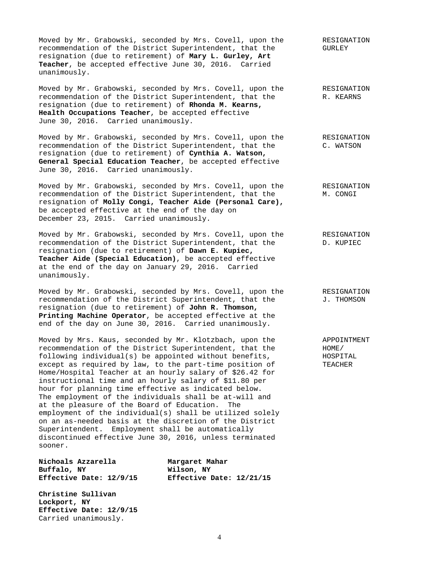Moved by Mr. Grabowski, seconded by Mrs. Covell, upon the RESIGNATION recommendation of the District Superintendent, that the GURLEY resignation (due to retirement) of **Mary L. Gurley, Art Teacher**, be accepted effective June 30, 2016. Carried unanimously.

Moved by Mr. Grabowski, seconded by Mrs. Covell, upon the RESIGNATION recommendation of the District Superintendent, that the R. KEARNS resignation (due to retirement) of **Rhonda M. Kearns, Health Occupations Teacher**, be accepted effective June 30, 2016. Carried unanimously.

Moved by Mr. Grabowski, seconded by Mrs. Covell, upon the RESIGNATION recommendation of the District Superintendent, that the C. WATSON resignation (due to retirement) of **Cynthia A. Watson, General Special Education Teacher**, be accepted effective June 30, 2016. Carried unanimously.

Moved by Mr. Grabowski, seconded by Mrs. Covell, upon the RESIGNATION recommendation of the District Superintendent, that the M. CONGI resignation of **Molly Congi, Teacher Aide (Personal Care),** be accepted effective at the end of the day on December 23, 2015. Carried unanimously.

Moved by Mr. Grabowski, seconded by Mrs. Covell, upon the RESIGNATION recommendation of the District Superintendent, that the D. KUPIEC resignation (due to retirement) of **Dawn E. Kupiec, Teacher Aide (Special Education)**, be accepted effective at the end of the day on January 29, 2016. Carried unanimously.

Moved by Mr. Grabowski, seconded by Mrs. Covell, upon the RESIGNATION recommendation of the District Superintendent, that the  $J.$  THOMSON resignation (due to retirement) of **John R. Thomson, Printing Machine Operator**, be accepted effective at the end of the day on June 30, 2016. Carried unanimously.

Moved by Mrs. Kaus, seconded by Mr. Klotzbach, upon the APPOINTMENT recommendation of the District Superintendent, that the  $HOME$ recommendation of the District Superintendent, that the following individual(s) be appointed without benefits, HOSPITAL except as required by law, to the part-time position of TEACHER Home/Hospital Teacher at an hourly salary of \$26.42 for instructional time and an hourly salary of \$11.80 per hour for planning time effective as indicated below. The employment of the individuals shall be at-will and at the pleasure of the Board of Education. The employment of the individual(s) shall be utilized solely on an as-needed basis at the discretion of the District Superintendent. Employment shall be automatically discontinued effective June 30, 2016, unless terminated sooner.

**Nichoals Azzarella Margaret Mahar Buffalo, NY Wilson, NY** 

**Effective Date: 12/9/15 Effective Date: 12/21/15** 

**Christine Sullivan Lockport, NY Effective Date: 12/9/15** Carried unanimously.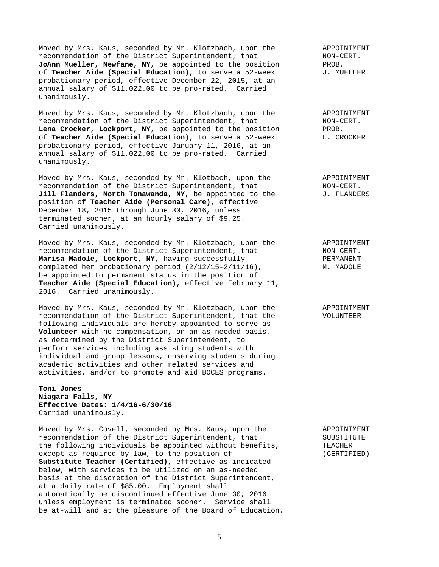Moved by Mrs. Kaus, seconded by Mr. Klotzbach, upon the APPOINTMENT<br>recommendation of the District Superintendent, that MON-CERT. recommendation of the District Superintendent, that MON-C<br>JoAnn Mueller, Newfane, NY, be appointed to the position PROB. **JoAnn Mueller, Newfane, NY**, be appointed to the position FROB.<br>of **Teacher Aide (Special Education)**, to serve a 52-week J. MUELLER of **Teacher Aide (Special Education)**, to serve a 52-week probationary period, effective December 22, 2015, at an annual salary of \$11,022.00 to be pro-rated. Carried unanimously.

Moved by Mrs. Kaus, seconded by Mr. Klotzbach, upon the APPOINTMENT recommendation of the District Superintendent, that MON-CERT.<br> **Lena Crocker, Lockport, NY**, be appointed to the position PROB. Lena Crocker, Lockport, NY, be appointed to the position of **Teacher Aide (Special Education)**, to serve a 52-week L. CROCKER probationary period, effective January 11, 2016, at an annual salary of \$11,022.00 to be pro-rated. Carried unanimously.

Moved by Mrs. Kaus, seconded by Mr. Klotbach, upon the APPOINTMENT<br>recommendation of the District Superintendent, that MON-CERT. recommendation of the District Superintendent, that **Jill Flanders, North Tonawanda, NY,** be appointed to the  $J$ . FLANDERS position of **Teacher Aide (Personal Care),** effective December 18, 2015 through June 30, 2016, unless terminated sooner, at an hourly salary of \$9.25. Carried unanimously.

Moved by Mrs. Kaus, seconded by Mr. Klotzbach, upon the APPOINTMENT recommendation of the District Superintendent, that MON-CERT.<br>
Marisa Madole, Lockport, NY, having successfully and the PERMANENT Marisa Madole, Lockport, NY, having successfully completed her probationary period (2/12/15-2/11/16), M. MADOLE be appointed to permanent status in the position of **Teacher Aide (Special Education),** effective February 11, 2016. Carried unanimously.

Moved by Mrs. Kaus, seconded by Mr. Klotzbach, upon the APPOINTMENT recommendation of the District Superintendent, that the VOLUNTEER following individuals are hereby appointed to serve as **Volunteer** with no compensation, on an as-needed basis, as determined by the District Superintendent, to perform services including assisting students with individual and group lessons, observing students during academic activities and other related services and activities, and/or to promote and aid BOCES programs.

# **Toni Jones Niagara Falls, NY Effective Dates: 1/4/16-6/30/16** Carried unanimously.

Moved by Mrs. Covell, seconded by Mrs. Kaus, upon the APPOINTMENT recommendation of the District Superintendent, that SUBSTITUTE the following individuals be appointed without benefits, TEACHER except as required by law, to the position of (CERTIFIED) **Substitute Teacher (Certified)**, effective as indicated below, with services to be utilized on an as-needed basis at the discretion of the District Superintendent, at a daily rate of \$85.00. Employment shall automatically be discontinued effective June 30, 2016 unless employment is terminated sooner. Service shall be at-will and at the pleasure of the Board of Education.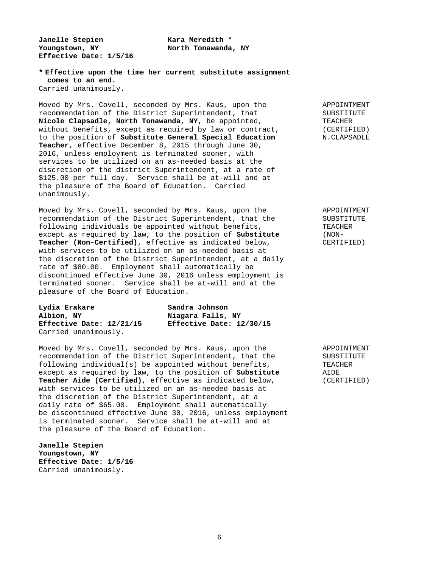Janelle Stepien **Kara Meredith \*** Youngstown, NY **North Tonawanda**, NY **Effective Date: 1/5/16** 

**\* Effective upon the time her current substitute assignment comes to an end.**  Carried unanimously.

Moved by Mrs. Covell, seconded by Mrs. Kaus, upon the APPOINTMENT recommendation of the District Superintendent, that SUBSTITUTE<br>Nicole Clapsadle, North Tonawanda, NY, be appointed, TEACHER Nicole Clapsadle, North Tonawanda, NY, be appointed, without benefits, except as required by law or contract, (CERTIFIED) to the position of **Substitute General Special Education** N.CLAPSADLE **Teacher**, effective December 8, 2015 through June 30, 2016, unless employment is terminated sooner, with services to be utilized on an as-needed basis at the discretion of the district Superintendent, at a rate of \$125.00 per full day. Service shall be at-will and at the pleasure of the Board of Education. Carried unanimously.

Moved by Mrs. Covell, seconded by Mrs. Kaus, upon the APPOINTMENT recommendation of the District Superintendent, that the SUBSTITUTE following individuals be appointed without benefits, TEACHER except as required by law, to the position of **Substitute** (NON-**Teacher (Non-Certified)**, effective as indicated below, CERTIFIED) with services to be utilized on an as-needed basis at the discretion of the District Superintendent, at a daily rate of \$80.00. Employment shall automatically be discontinued effective June 30, 2016 unless employment is terminated sooner. Service shall be at-will and at the pleasure of the Board of Education.

| Lydia Erakare            | Sandra Johnson           |
|--------------------------|--------------------------|
| Albion, NY               | Niagara Falls, NY        |
| Effective Date: 12/21/15 | Effective Date: 12/30/15 |
| Carried unanimously.     |                          |

Moved by Mrs. Covell, seconded by Mrs. Kaus, upon the APPOINTMENT recommendation of the District Superintendent, that the SUBSTITUTE following individual(s) be appointed without benefits, TEACHER except as required by law, to the position of **Substitute** AIDE **Teacher Aide (Certified)**, effective as indicated below, (CERTIFIED) with services to be utilized on an as-needed basis at the discretion of the District Superintendent, at a daily rate of \$65.00. Employment shall automatically be discontinued effective June 30, 2016, unless employment is terminated sooner. Service shall be at-will and at the pleasure of the Board of Education.

**Janelle Stepien Youngstown, NY Effective Date: 1/5/16** Carried unanimously.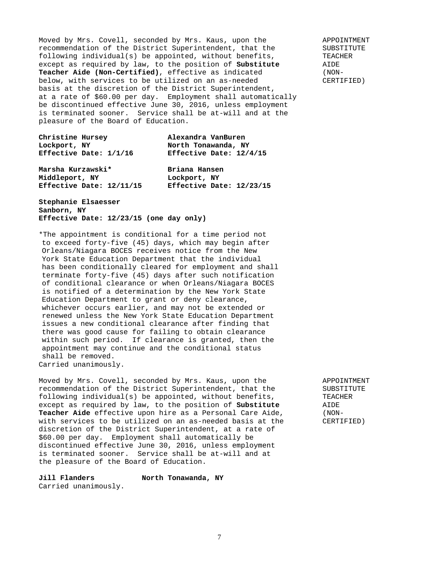Moved by Mrs. Covell, seconded by Mrs. Kaus, upon the APPOINTMENT recommendation of the District Superintendent, that the SUBSTITUTE following individual(s) be appointed, without benefits, TEACHER except as required by law, to the position of **Substitute** AIDE **Teacher Aide (Non-Certified)**, effective as indicated (NONbelow, with services to be utilized on an as-needed CERTIFIED) basis at the discretion of the District Superintendent, at a rate of \$60.00 per day. Employment shall automatically be discontinued effective June 30, 2016, unless employment is terminated sooner. Service shall be at-will and at the pleasure of the Board of Education.

| Christine Hursey         | Alexandra VanBuren       |
|--------------------------|--------------------------|
| Lockport, NY             | North Tonawanda, NY      |
| Effective Date: 1/1/16   | Effective Date: 12/4/15  |
| Marsha Kurzawski*        | Briana Hansen            |
| Middleport, NY           | Lockport, NY             |
| Effective Date: 12/11/15 | Effective Date: 12/23/15 |

## **Stephanie Elsaesser Sanborn, NY Effective Date: 12/23/15 (one day only)**

\*The appointment is conditional for a time period not to exceed forty-five (45) days, which may begin after Orleans/Niagara BOCES receives notice from the New York State Education Department that the individual has been conditionally cleared for employment and shall terminate forty-five (45) days after such notification of conditional clearance or when Orleans/Niagara BOCES is notified of a determination by the New York State Education Department to grant or deny clearance, whichever occurs earlier, and may not be extended or renewed unless the New York State Education Department issues a new conditional clearance after finding that there was good cause for failing to obtain clearance within such period. If clearance is granted, then the appointment may continue and the conditional status shall be removed. Carried unanimously.

Moved by Mrs. Covell, seconded by Mrs. Kaus, upon the APPOINTMENT recommendation of the District Superintendent, that the SUBSTITUTE following individual(s) be appointed, without benefits, TEACHER<br>except as required by law, to the position of **Substitute** AIDE except as required by law, to the position of **Substitute** AIDE<br> **Teacher Aide** effective upon hire as a Personal Care Aide, (NON-Teacher Aide effective upon hire as a Personal Care Aide, with services to be utilized on an as-needed basis at the CERTIFIED) discretion of the District Superintendent, at a rate of \$60.00 per day. Employment shall automatically be discontinued effective June 30, 2016, unless employment is terminated sooner. Service shall be at-will and at the pleasure of the Board of Education.

**Jill Flanders North Tonawanda, NY** Carried unanimously.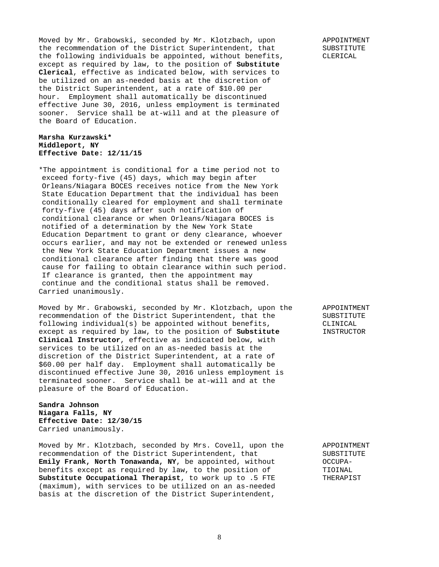Moved by Mr. Grabowski, seconded by Mr. Klotzbach, upon APPOINTMENT the recommendation of the District Superintendent, that SUBSTITUTE the following individuals be appointed, without benefits, CLERICAL except as required by law, to the position of **Substitute Clerical**, effective as indicated below, with services to be utilized on an as-needed basis at the discretion of the District Superintendent, at a rate of \$10.00 per hour. Employment shall automatically be discontinued effective June 30, 2016, unless employment is terminated sooner. Service shall be at-will and at the pleasure of the Board of Education.

## **Marsha Kurzawski\* Middleport, NY Effective Date: 12/11/15**

\*The appointment is conditional for a time period not to exceed forty-five (45) days, which may begin after Orleans/Niagara BOCES receives notice from the New York State Education Department that the individual has been conditionally cleared for employment and shall terminate forty-five (45) days after such notification of conditional clearance or when Orleans/Niagara BOCES is notified of a determination by the New York State Education Department to grant or deny clearance, whoever occurs earlier, and may not be extended or renewed unless the New York State Education Department issues a new conditional clearance after finding that there was good cause for failing to obtain clearance within such period. If clearance is granted, then the appointment may continue and the conditional status shall be removed. Carried unanimously.

Moved by Mr. Grabowski, seconded by Mr. Klotzbach, upon the APPOINTMENT recommendation of the District Superintendent, that the SUBSTITUTE following individual(s) be appointed without benefits,  $CLINICAL$ <br>except as required by law, to the position of **Substitute** TNSTRUCTOR except as required by law, to the position of Substitute **Clinical Instructor**, effective as indicated below, with services to be utilized on an as-needed basis at the discretion of the District Superintendent, at a rate of \$60.00 per half day. Employment shall automatically be discontinued effective June 30, 2016 unless employment is terminated sooner. Service shall be at-will and at the pleasure of the Board of Education.

#### **Sandra Johnson Niagara Falls, NY Effective Date: 12/30/15** Carried unanimously.

Moved by Mr. Klotzbach, seconded by Mrs. Covell, upon the APPOINTMENT recommendation of the District Superintendent, that SUBSTITUTE<br> **Emily Frank, North Tonawanda, NY**, be appointed, without OCCUPA-Emily Frank, North Tonawanda, NY, be appointed, without benefits except as required by law, to the position of TIOINAL **Substitute Occupational Therapist**, to work up to .5 FTE THERAPIST (maximum), with services to be utilized on an as-needed basis at the discretion of the District Superintendent,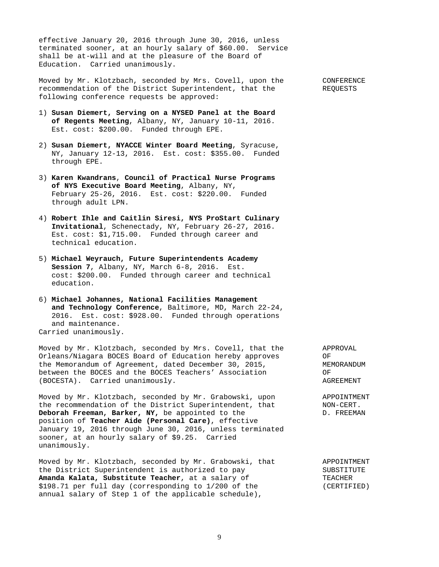effective January 20, 2016 through June 30, 2016, unless terminated sooner, at an hourly salary of \$60.00. Service shall be at-will and at the pleasure of the Board of Education. Carried unanimously.

Moved by Mr. Klotzbach, seconded by Mrs. Covell, upon the CONFERENCE recommendation of the District Superintendent, that the REQUESTS following conference requests be approved:

- 1) **Susan Diemert, Serving on a NYSED Panel at the Board of Regents Meeting**, Albany, NY, January 10-11, 2016. Est. cost: \$200.00. Funded through EPE.
- 2) **Susan Diemert, NYACCE Winter Board Meeting**, Syracuse, NY, January 12-13, 2016. Est. cost: \$355.00. Funded through EPE.
- 3) **Karen Kwandrans**, **Council of Practical Nurse Programs of NYS Executive Board Meeting**, Albany, NY, February 25-26, 2016. Est. cost: \$220.00. Funded through adult LPN.
- 4) **Robert Ihle and Caitlin Siresi, NYS ProStart Culinary Invitational**, Schenectady, NY, February 26-27, 2016. Est. cost: \$1,715.00. Funded through career and technical education.
- 5) **Michael Weyrauch, Future Superintendents Academy Session 7**, Albany, NY, March 6-8, 2016. Est. cost: \$200.00. Funded through career and technical education.
- 6) **Michael Johannes, National Facilities Management and Technology Conference**, Baltimore, MD, March 22-24, 2016. Est. cost: \$928.00. Funded through operations and maintenance. Carried unanimously.

Moved by Mr. Klotzbach, seconded by Mrs. Covell, that the APPROVAL Orleans/Niagara BOCES Board of Education hereby approves OF the Memorandum of Agreement, dated December 30, 2015, MEMORANDUM between the BOCES and the BOCES Teachers' Association OF (BOCESTA). Carried unanimously. The contract of the contract of the contract of the contract of the contract of the contract of the contract of the contract of the contract of the contract of the contract of the contract o

Moved by Mr. Klotzbach, seconded by Mr. Grabowski, upon appoint APPOINTMENT<br>the recommendation of the District Superintendent, that MON-CERT. the recommendation of the District Superintendent, that MON-CERT.<br> **Deborah Freeman, Barker, NY,** be appointed to the  $D$ . FREEMAN Deborah Freeman, Barker, NY, be appointed to the position of **Teacher Aide (Personal Care)**, effective January 19, 2016 through June 30, 2016, unless terminated sooner, at an hourly salary of \$9.25. Carried unanimously.

Moved by Mr. Klotzbach, seconded by Mr. Grabowski, that APPOINTMENT the District Superintendent is authorized to pay SUBSTITUTE **Amanda Kalata, Substitute Teacher**, at a salary of TEACHER \$198.71 per full day (corresponding to 1/200 of the (CERTIFIED) annual salary of Step 1 of the applicable schedule),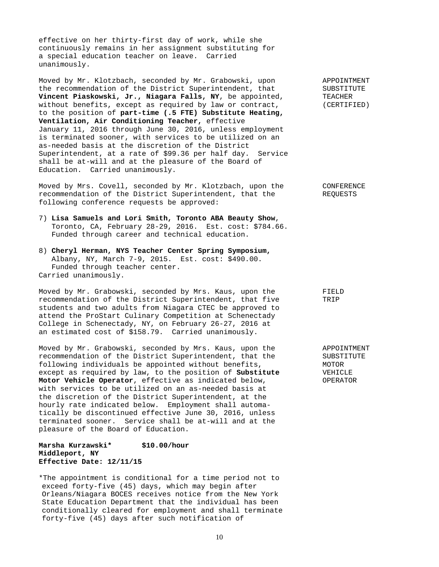effective on her thirty-first day of work, while she continuously remains in her assignment substituting for a special education teacher on leave. Carried unanimously.

Moved by Mr. Klotzbach, seconded by Mr. Grabowski, upon APPOINTMENT the recommendation of the District Superintendent, that SUBSTITUTE Vincent Piaskowski, Jr., Niagara Falls, NY, be appointed, TEACHER without benefits, except as required by law or contract, (CERTIFIED) to the position of **part-time (.5 FTE) Substitute Heating, Ventilation, Air Conditioning Teacher,** effective January 11, 2016 through June 30, 2016, unless employment is terminated sooner, with services to be utilized on an as-needed basis at the discretion of the District Superintendent, at a rate of \$99.36 per half day. Service shall be at-will and at the pleasure of the Board of Education. Carried unanimously.

Moved by Mrs. Covell, seconded by Mr. Klotzbach, upon the CONFERENCE recommendation of the District Superintendent, that the REQUESTS following conference requests be approved:

- 7) **Lisa Samuels and Lori Smith, Toronto ABA Beauty Show**, Toronto, CA, February 28-29, 2016. Est. cost: \$784.66. Funded through career and technical education.
- 8) **Cheryl Herman, NYS Teacher Center Spring Symposium,** Albany, NY, March 7-9, 2015. Est. cost: \$490.00. Funded through teacher center. Carried unanimously.

Moved by Mr. Grabowski, seconded by Mrs. Kaus, upon the FIELD recommendation of the District Superintendent, that five TRIP students and two adults from Niagara CTEC be approved to attend the ProStart Culinary Competition at Schenectady College in Schenectady, NY, on February 26-27, 2016 at an estimated cost of \$158.79. Carried unanimously.

Moved by Mr. Grabowski, seconded by Mrs. Kaus, upon the APPOINTMENT recommendation of the District Superintendent, that the SUBSTITUTE following individuals be appointed without benefits, MOTOR except as required by law, to the position of **Substitute** VEHICLE **Motor Vehicle Operator**, effective as indicated below, **OPERATOR** with services to be utilized on an as-needed basis at the discretion of the District Superintendent, at the hourly rate indicated below. Employment shall automatically be discontinued effective June 30, 2016, unless terminated sooner. Service shall be at-will and at the pleasure of the Board of Education.

#### **Marsha Kurzawski\* \$10.00/hour Middleport, NY Effective Date: 12/11/15**

\*The appointment is conditional for a time period not to exceed forty-five (45) days, which may begin after Orleans/Niagara BOCES receives notice from the New York State Education Department that the individual has been conditionally cleared for employment and shall terminate forty-five (45) days after such notification of